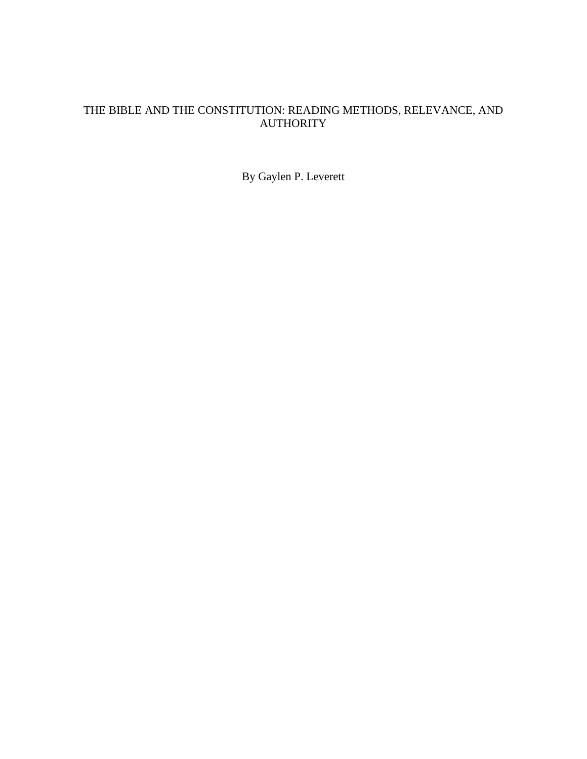# THE BIBLE AND THE CONSTITUTION: READING METHODS, RELEVANCE, AND AUTHORITY

By Gaylen P. Leverett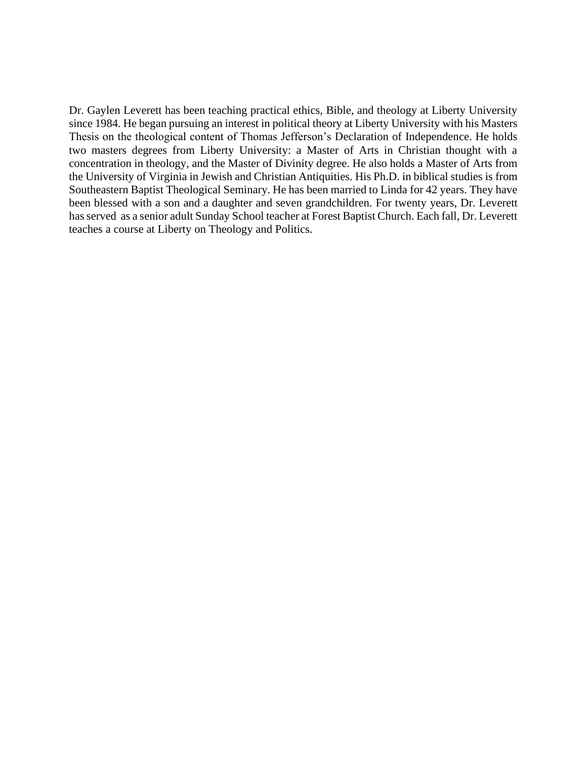Dr. Gaylen Leverett has been teaching practical ethics, Bible, and theology at Liberty University since 1984. He began pursuing an interest in political theory at Liberty University with his Masters Thesis on the theological content of Thomas Jefferson's Declaration of Independence. He holds two masters degrees from Liberty University: a Master of Arts in Christian thought with a concentration in theology, and the Master of Divinity degree. He also holds a Master of Arts from the University of Virginia in Jewish and Christian Antiquities. His Ph.D. in biblical studies is from Southeastern Baptist Theological Seminary. He has been married to Linda for 42 years. They have been blessed with a son and a daughter and seven grandchildren. For twenty years, Dr. Leverett has served as a senior adult Sunday School teacher at Forest Baptist Church. Each fall, Dr. Leverett teaches a course at Liberty on Theology and Politics.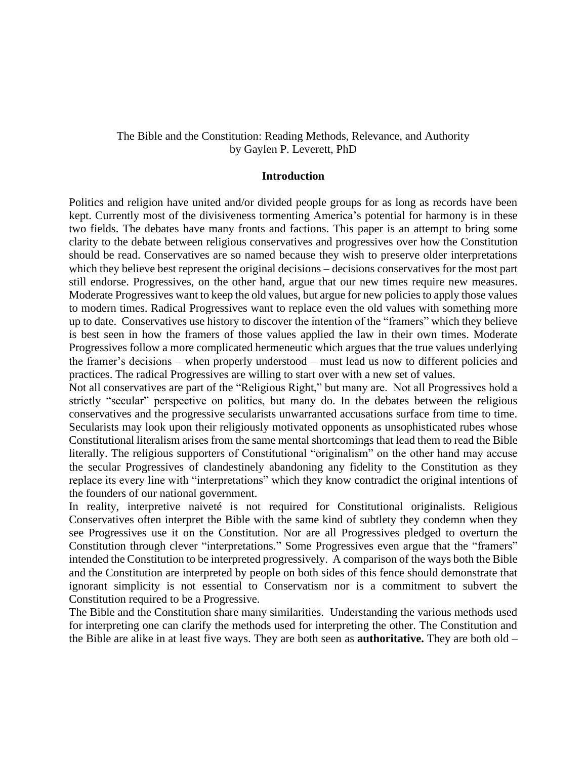## The Bible and the Constitution: Reading Methods, Relevance, and Authority by Gaylen P. Leverett, PhD

#### **Introduction**

Politics and religion have united and/or divided people groups for as long as records have been kept. Currently most of the divisiveness tormenting America's potential for harmony is in these two fields. The debates have many fronts and factions. This paper is an attempt to bring some clarity to the debate between religious conservatives and progressives over how the Constitution should be read. Conservatives are so named because they wish to preserve older interpretations which they believe best represent the original decisions – decisions conservatives for the most part still endorse. Progressives, on the other hand, argue that our new times require new measures. Moderate Progressives want to keep the old values, but argue for new policies to apply those values to modern times. Radical Progressives want to replace even the old values with something more up to date. Conservatives use history to discover the intention of the "framers" which they believe is best seen in how the framers of those values applied the law in their own times. Moderate Progressives follow a more complicated hermeneutic which argues that the true values underlying the framer's decisions – when properly understood – must lead us now to different policies and practices. The radical Progressives are willing to start over with a new set of values.

Not all conservatives are part of the "Religious Right," but many are. Not all Progressives hold a strictly "secular" perspective on politics, but many do. In the debates between the religious conservatives and the progressive secularists unwarranted accusations surface from time to time. Secularists may look upon their religiously motivated opponents as unsophisticated rubes whose Constitutional literalism arises from the same mental shortcomings that lead them to read the Bible literally. The religious supporters of Constitutional "originalism" on the other hand may accuse the secular Progressives of clandestinely abandoning any fidelity to the Constitution as they replace its every line with "interpretations" which they know contradict the original intentions of the founders of our national government.

In reality, interpretive naiveté is not required for Constitutional originalists. Religious Conservatives often interpret the Bible with the same kind of subtlety they condemn when they see Progressives use it on the Constitution. Nor are all Progressives pledged to overturn the Constitution through clever "interpretations." Some Progressives even argue that the "framers" intended the Constitution to be interpreted progressively. A comparison of the ways both the Bible and the Constitution are interpreted by people on both sides of this fence should demonstrate that ignorant simplicity is not essential to Conservatism nor is a commitment to subvert the Constitution required to be a Progressive.

The Bible and the Constitution share many similarities. Understanding the various methods used for interpreting one can clarify the methods used for interpreting the other. The Constitution and the Bible are alike in at least five ways. They are both seen as **authoritative.** They are both old –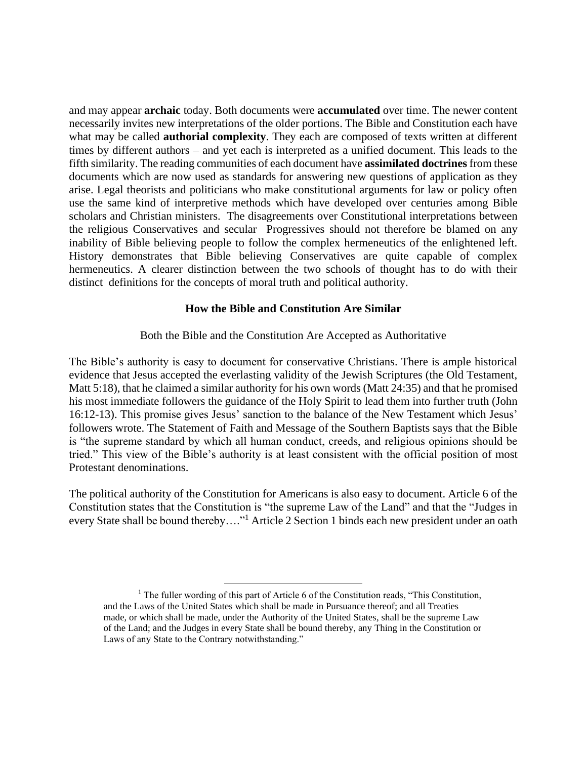and may appear **archaic** today. Both documents were **accumulated** over time. The newer content necessarily invites new interpretations of the older portions. The Bible and Constitution each have what may be called **authorial complexity**. They each are composed of texts written at different times by different authors – and yet each is interpreted as a unified document. This leads to the fifth similarity. The reading communities of each document have **assimilated doctrines** from these documents which are now used as standards for answering new questions of application as they arise. Legal theorists and politicians who make constitutional arguments for law or policy often use the same kind of interpretive methods which have developed over centuries among Bible scholars and Christian ministers. The disagreements over Constitutional interpretations between the religious Conservatives and secular Progressives should not therefore be blamed on any inability of Bible believing people to follow the complex hermeneutics of the enlightened left. History demonstrates that Bible believing Conservatives are quite capable of complex hermeneutics. A clearer distinction between the two schools of thought has to do with their distinct definitions for the concepts of moral truth and political authority.

#### **How the Bible and Constitution Are Similar**

Both the Bible and the Constitution Are Accepted as Authoritative

The Bible's authority is easy to document for conservative Christians. There is ample historical evidence that Jesus accepted the everlasting validity of the Jewish Scriptures (the Old Testament, Matt 5:18), that he claimed a similar authority for his own words (Matt 24:35) and that he promised his most immediate followers the guidance of the Holy Spirit to lead them into further truth (John 16:12-13). This promise gives Jesus' sanction to the balance of the New Testament which Jesus' followers wrote. The Statement of Faith and Message of the Southern Baptists says that the Bible is "the supreme standard by which all human conduct, creeds, and religious opinions should be tried." This view of the Bible's authority is at least consistent with the official position of most Protestant denominations.

The political authority of the Constitution for Americans is also easy to document. Article 6 of the Constitution states that the Constitution is "the supreme Law of the Land" and that the "Judges in every State shall be bound thereby…."<sup>1</sup> Article 2 Section 1 binds each new president under an oath

 $<sup>1</sup>$  The fuller wording of this part of Article 6 of the Constitution reads, "This Constitution,</sup> and the Laws of the United States which shall be made in Pursuance thereof; and all Treaties made, or which shall be made, under the Authority of the United States, shall be the supreme Law of the Land; and the Judges in every State shall be bound thereby, any Thing in the Constitution or Laws of any State to the Contrary notwithstanding."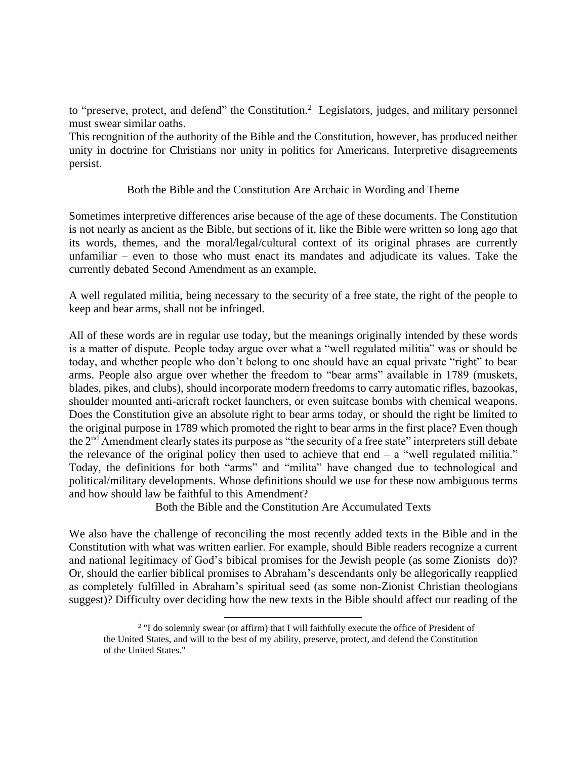to "preserve, protect, and defend" the Constitution.<sup>2</sup> Legislators, judges, and military personnel must swear similar oaths.

This recognition of the authority of the Bible and the Constitution, however, has produced neither unity in doctrine for Christians nor unity in politics for Americans. Interpretive disagreements persist.

## Both the Bible and the Constitution Are Archaic in Wording and Theme

Sometimes interpretive differences arise because of the age of these documents. The Constitution is not nearly as ancient as the Bible, but sections of it, like the Bible were written so long ago that its words, themes, and the moral/legal/cultural context of its original phrases are currently unfamiliar – even to those who must enact its mandates and adjudicate its values. Take the currently debated Second Amendment as an example,

A well regulated militia, being necessary to the security of a free state, the right of the people to keep and bear arms, shall not be infringed.

All of these words are in regular use today, but the meanings originally intended by these words is a matter of dispute. People today argue over what a "well regulated militia" was or should be today, and whether people who don't belong to one should have an equal private "right" to bear arms. People also argue over whether the freedom to "bear arms" available in 1789 (muskets, blades, pikes, and clubs), should incorporate modern freedoms to carry automatic rifles, bazookas, shoulder mounted anti-aricraft rocket launchers, or even suitcase bombs with chemical weapons. Does the Constitution give an absolute right to bear arms today, or should the right be limited to the original purpose in 1789 which promoted the right to bear arms in the first place? Even though the  $2<sup>nd</sup>$  Amendment clearly states its purpose as "the security of a free state" interpreters still debate the relevance of the original policy then used to achieve that end  $-$  a "well regulated militia." Today, the definitions for both "arms" and "milita" have changed due to technological and political/military developments. Whose definitions should we use for these now ambiguous terms and how should law be faithful to this Amendment?

Both the Bible and the Constitution Are Accumulated Texts

We also have the challenge of reconciling the most recently added texts in the Bible and in the Constitution with what was written earlier. For example, should Bible readers recognize a current and national legitimacy of God's bibical promises for the Jewish people (as some Zionists do)? Or, should the earlier biblical promises to Abraham's descendants only be allegorically reapplied as completely fulfilled in Abraham's spiritual seed (as some non-Zionist Christian theologians suggest)? Difficulty over deciding how the new texts in the Bible should affect our reading of the

<sup>&</sup>lt;sup>2</sup> "I do solemnly swear (or affirm) that I will faithfully execute the office of President of the United States, and will to the best of my ability, preserve, protect, and defend the Constitution of the United States."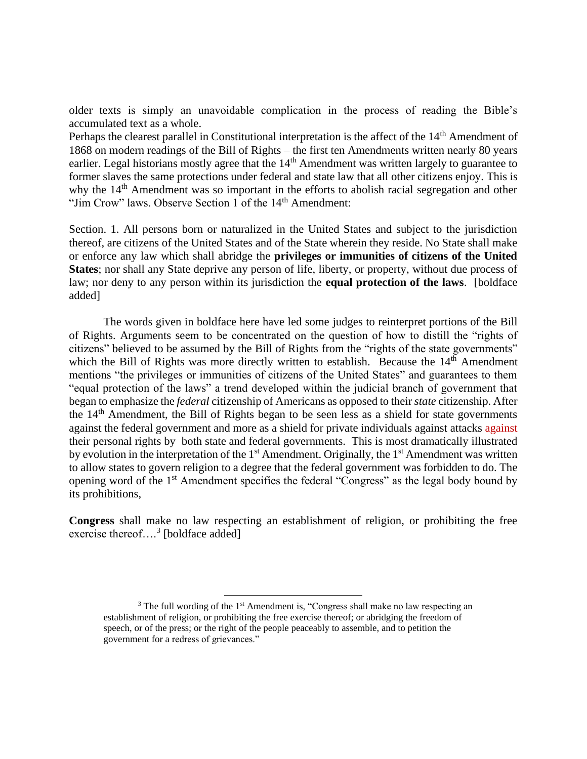older texts is simply an unavoidable complication in the process of reading the Bible's accumulated text as a whole.

Perhaps the clearest parallel in Constitutional interpretation is the affect of the 14<sup>th</sup> Amendment of 1868 on modern readings of the Bill of Rights – the first ten Amendments written nearly 80 years earlier. Legal historians mostly agree that the 14<sup>th</sup> Amendment was written largely to guarantee to former slaves the same protections under federal and state law that all other citizens enjoy. This is why the 14<sup>th</sup> Amendment was so important in the efforts to abolish racial segregation and other "Jim Crow" laws. Observe Section 1 of the 14<sup>th</sup> Amendment:

Section. 1. All persons born or naturalized in the United States and subject to the jurisdiction thereof, are citizens of the United States and of the State wherein they reside. No State shall make or enforce any law which shall abridge the **privileges or immunities of citizens of the United States**; nor shall any State deprive any person of life, liberty, or property, without due process of law; nor deny to any person within its jurisdiction the **equal protection of the laws**. [boldface added]

The words given in boldface here have led some judges to reinterpret portions of the Bill of Rights. Arguments seem to be concentrated on the question of how to distill the "rights of citizens" believed to be assumed by the Bill of Rights from the "rights of the state governments" which the Bill of Rights was more directly written to establish. Because the  $14<sup>th</sup>$  Amendment mentions "the privileges or immunities of citizens of the United States" and guarantees to them "equal protection of the laws" a trend developed within the judicial branch of government that began to emphasize the *federal* citizenship of Americans as opposed to their *state* citizenship. After the 14th Amendment, the Bill of Rights began to be seen less as a shield for state governments against the federal government and more as a shield for private individuals against attacks against their personal rights by both state and federal governments. This is most dramatically illustrated by evolution in the interpretation of the  $1<sup>st</sup>$  Amendment. Originally, the  $1<sup>st</sup>$  Amendment was written to allow states to govern religion to a degree that the federal government was forbidden to do. The opening word of the 1<sup>st</sup> Amendment specifies the federal "Congress" as the legal body bound by its prohibitions,

**Congress** shall make no law respecting an establishment of religion, or prohibiting the free exercise thereof....<sup>3</sup> [boldface added]

<sup>&</sup>lt;sup>3</sup> The full wording of the 1<sup>st</sup> Amendment is, "Congress shall make no law respecting an establishment of religion, or prohibiting the free exercise thereof; or abridging the freedom of speech, or of the press; or the right of the people peaceably to assemble, and to petition the government for a redress of grievances."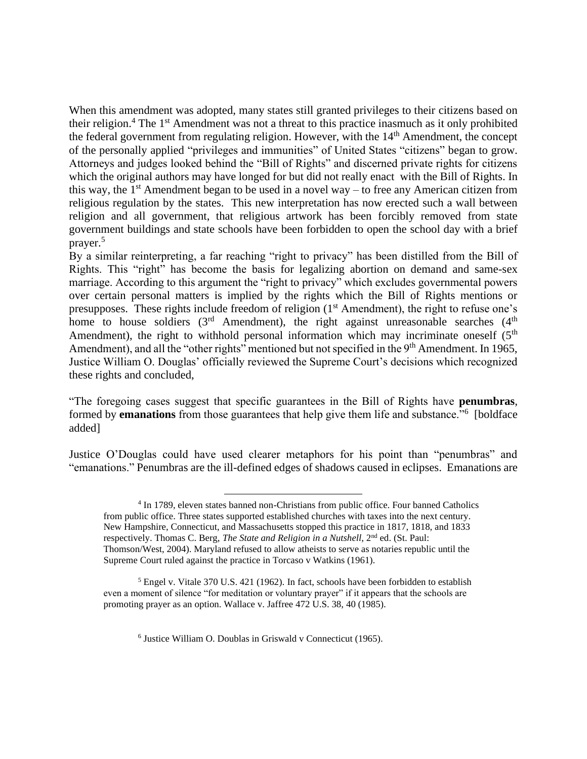When this amendment was adopted, many states still granted privileges to their citizens based on their religion.<sup>4</sup> The 1<sup>st</sup> Amendment was not a threat to this practice inasmuch as it only prohibited the federal government from regulating religion. However, with the  $14<sup>th</sup>$  Amendment, the concept of the personally applied "privileges and immunities" of United States "citizens" began to grow. Attorneys and judges looked behind the "Bill of Rights" and discerned private rights for citizens which the original authors may have longed for but did not really enact with the Bill of Rights. In this way, the  $1<sup>st</sup>$  Amendment began to be used in a novel way – to free any American citizen from religious regulation by the states. This new interpretation has now erected such a wall between religion and all government, that religious artwork has been forcibly removed from state government buildings and state schools have been forbidden to open the school day with a brief prayer.<sup>5</sup>

By a similar reinterpreting, a far reaching "right to privacy" has been distilled from the Bill of Rights. This "right" has become the basis for legalizing abortion on demand and same-sex marriage. According to this argument the "right to privacy" which excludes governmental powers over certain personal matters is implied by the rights which the Bill of Rights mentions or presupposes. These rights include freedom of religion (1<sup>st</sup> Amendment), the right to refuse one's home to house soldiers  $(3<sup>rd</sup>$  Amendment), the right against unreasonable searches  $(4<sup>th</sup>$ Amendment), the right to withhold personal information which may incriminate oneself  $(5<sup>th</sup>$ Amendment), and all the "other rights" mentioned but not specified in the 9<sup>th</sup> Amendment. In 1965, Justice William O. Douglas' officially reviewed the Supreme Court's decisions which recognized these rights and concluded,

"The foregoing cases suggest that specific guarantees in the Bill of Rights have **penumbras**, formed by **emanations** from those guarantees that help give them life and substance.<sup>76</sup> [boldface added]

Justice O'Douglas could have used clearer metaphors for his point than "penumbras" and "emanations." Penumbras are the ill-defined edges of shadows caused in eclipses. Emanations are

6 Justice William O. Doublas in Griswald v Connecticut (1965).

<sup>&</sup>lt;sup>4</sup> In 1789, eleven states banned non-Christians from public office. Four banned Catholics from public office. Three states supported established churches with taxes into the next century. New Hampshire, Connecticut, and Massachusetts stopped this practice in 1817, 1818, and 1833 respectively. Thomas C. Berg, *The State and Religion in a Nutshell*, 2<sup>nd</sup> ed. (St. Paul: Thomson/West, 2004). Maryland refused to allow atheists to serve as notaries republic until the Supreme Court ruled against the practice in Torcaso v Watkins (1961).

<sup>&</sup>lt;sup>5</sup> Engel v. Vitale 370 U.S. 421 (1962). In fact, schools have been forbidden to establish even a moment of silence "for meditation or voluntary prayer" if it appears that the schools are promoting prayer as an option. Wallace v. Jaffree 472 U.S. 38, 40 (1985).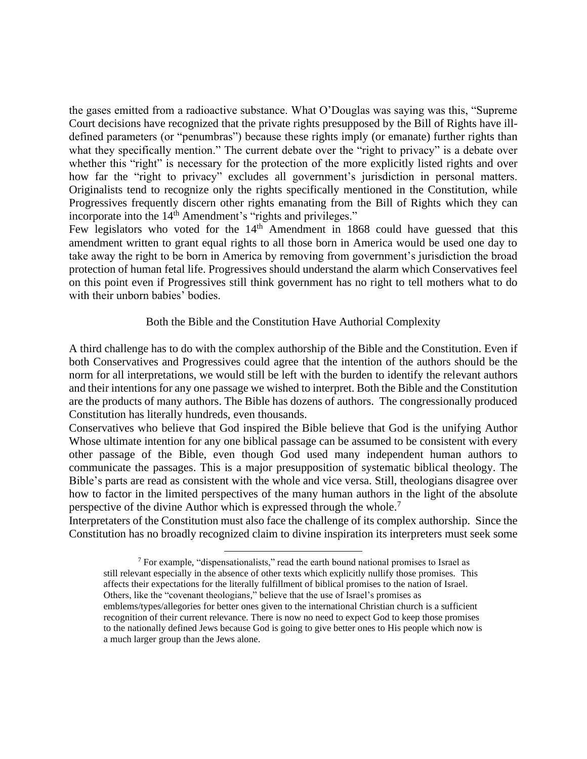the gases emitted from a radioactive substance. What O'Douglas was saying was this, "Supreme Court decisions have recognized that the private rights presupposed by the Bill of Rights have illdefined parameters (or "penumbras") because these rights imply (or emanate) further rights than what they specifically mention." The current debate over the "right to privacy" is a debate over whether this "right" is necessary for the protection of the more explicitly listed rights and over how far the "right to privacy" excludes all government's jurisdiction in personal matters. Originalists tend to recognize only the rights specifically mentioned in the Constitution, while Progressives frequently discern other rights emanating from the Bill of Rights which they can incorporate into the 14<sup>th</sup> Amendment's "rights and privileges."

Few legislators who voted for the  $14<sup>th</sup>$  Amendment in 1868 could have guessed that this amendment written to grant equal rights to all those born in America would be used one day to take away the right to be born in America by removing from government's jurisdiction the broad protection of human fetal life. Progressives should understand the alarm which Conservatives feel on this point even if Progressives still think government has no right to tell mothers what to do with their unborn babies' bodies.

## Both the Bible and the Constitution Have Authorial Complexity

A third challenge has to do with the complex authorship of the Bible and the Constitution. Even if both Conservatives and Progressives could agree that the intention of the authors should be the norm for all interpretations, we would still be left with the burden to identify the relevant authors and their intentions for any one passage we wished to interpret. Both the Bible and the Constitution are the products of many authors. The Bible has dozens of authors. The congressionally produced Constitution has literally hundreds, even thousands.

Conservatives who believe that God inspired the Bible believe that God is the unifying Author Whose ultimate intention for any one biblical passage can be assumed to be consistent with every other passage of the Bible, even though God used many independent human authors to communicate the passages. This is a major presupposition of systematic biblical theology. The Bible's parts are read as consistent with the whole and vice versa. Still, theologians disagree over how to factor in the limited perspectives of the many human authors in the light of the absolute perspective of the divine Author which is expressed through the whole.<sup>7</sup>

Interpretaters of the Constitution must also face the challenge of its complex authorship. Since the Constitution has no broadly recognized claim to divine inspiration its interpreters must seek some

<sup>7</sup> For example, "dispensationalists," read the earth bound national promises to Israel as still relevant especially in the absence of other texts which explicitly nullify those promises. This affects their expectations for the literally fulfillment of biblical promises to the nation of Israel. Others, like the "covenant theologians," believe that the use of Israel's promises as emblems/types/allegories for better ones given to the international Christian church is a sufficient recognition of their current relevance. There is now no need to expect God to keep those promises to the nationally defined Jews because God is going to give better ones to His people which now is a much larger group than the Jews alone.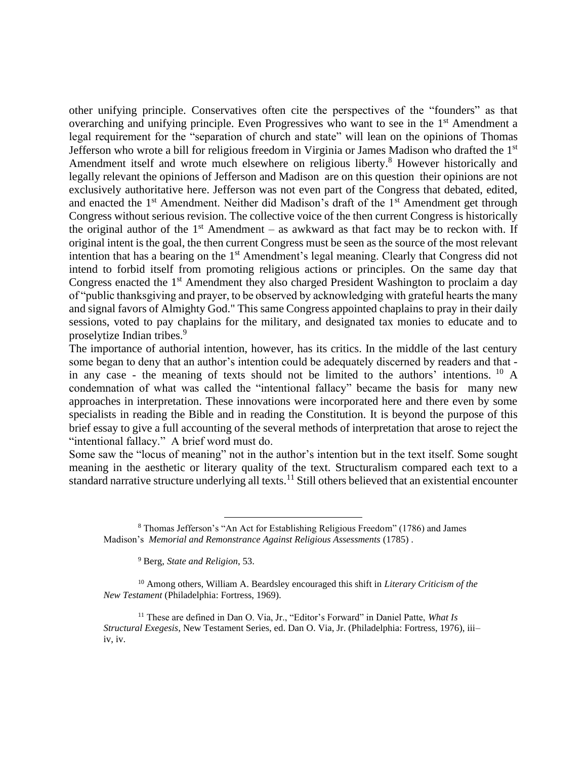other unifying principle. Conservatives often cite the perspectives of the "founders" as that overarching and unifying principle. Even Progressives who want to see in the 1<sup>st</sup> Amendment a legal requirement for the "separation of church and state" will lean on the opinions of Thomas Jefferson who wrote a bill for religious freedom in Virginia or James Madison who drafted the 1st Amendment itself and wrote much elsewhere on religious liberty. <sup>8</sup> However historically and legally relevant the opinions of Jefferson and Madison are on this question their opinions are not exclusively authoritative here. Jefferson was not even part of the Congress that debated, edited, and enacted the  $1<sup>st</sup>$  Amendment. Neither did Madison's draft of the  $1<sup>st</sup>$  Amendment get through Congress without serious revision. The collective voice of the then current Congress is historically the original author of the  $1<sup>st</sup>$  Amendment – as awkward as that fact may be to reckon with. If original intent is the goal, the then current Congress must be seen as the source of the most relevant intention that has a bearing on the 1<sup>st</sup> Amendment's legal meaning. Clearly that Congress did not intend to forbid itself from promoting religious actions or principles. On the same day that Congress enacted the 1<sup>st</sup> Amendment they also charged President Washington to proclaim a day of "public thanksgiving and prayer, to be observed by acknowledging with grateful hearts the many and signal favors of Almighty God." This same Congress appointed chaplains to pray in their daily sessions, voted to pay chaplains for the military, and designated tax monies to educate and to proselytize Indian tribes.<sup>9</sup>

The importance of authorial intention, however, has its critics. In the middle of the last century some began to deny that an author's intention could be adequately discerned by readers and that in any case - the meaning of texts should not be limited to the authors' intentions. <sup>10</sup> A condemnation of what was called the "intentional fallacy" became the basis for many new approaches in interpretation. These innovations were incorporated here and there even by some specialists in reading the Bible and in reading the Constitution. It is beyond the purpose of this brief essay to give a full accounting of the several methods of interpretation that arose to reject the "intentional fallacy." A brief word must do.

Some saw the "locus of meaning" not in the author's intention but in the text itself. Some sought meaning in the aesthetic or literary quality of the text. Structuralism compared each text to a standard narrative structure underlying all texts.<sup>11</sup> Still others believed that an existential encounter

<sup>9</sup> Berg, *State and Religion*, 53.

<sup>10</sup> Among others, William A. Beardsley encouraged this shift in *Literary Criticism of the New Testament* (Philadelphia: Fortress, 1969).

<sup>11</sup> These are defined in Dan O. Via, Jr., "Editor's Forward" in Daniel Patte, *What Is Structural Exegesis*, New Testament Series, ed. Dan O. Via, Jr. (Philadelphia: Fortress, 1976), iii– iv, iv.

<sup>8</sup> Thomas Jefferson's "An Act for Establishing Religious Freedom" (1786) and James Madison's *Memorial and Remonstrance Against Religious Assessments* (1785) .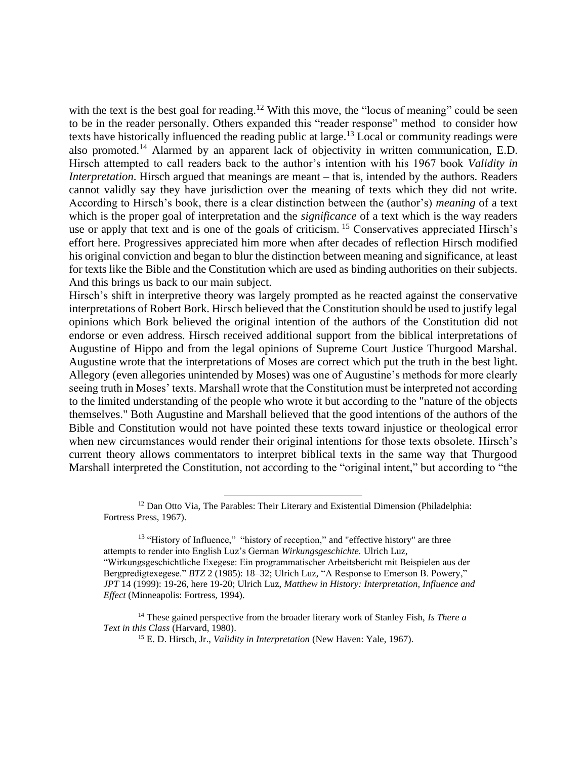with the text is the best goal for reading.<sup>12</sup> With this move, the "locus of meaning" could be seen to be in the reader personally. Others expanded this "reader response" method to consider how texts have historically influenced the reading public at large.<sup>13</sup> Local or community readings were also promoted.<sup>14</sup> Alarmed by an apparent lack of objectivity in written communication, E.D. Hirsch attempted to call readers back to the author's intention with his 1967 book *Validity in Interpretation*. Hirsch argued that meanings are meant – that is, intended by the authors. Readers cannot validly say they have jurisdiction over the meaning of texts which they did not write. According to Hirsch's book, there is a clear distinction between the (author's) *meaning* of a text which is the proper goal of interpretation and the *significance* of a text which is the way readers use or apply that text and is one of the goals of criticism. <sup>15</sup> Conservatives appreciated Hirsch's effort here. Progressives appreciated him more when after decades of reflection Hirsch modified his original conviction and began to blur the distinction between meaning and significance, at least for texts like the Bible and the Constitution which are used as binding authorities on their subjects. And this brings us back to our main subject.

Hirsch's shift in interpretive theory was largely prompted as he reacted against the conservative interpretations of Robert Bork. Hirsch believed that the Constitution should be used to justify legal opinions which Bork believed the original intention of the authors of the Constitution did not endorse or even address. Hirsch received additional support from the biblical interpretations of Augustine of Hippo and from the legal opinions of Supreme Court Justice Thurgood Marshal. Augustine wrote that the interpretations of Moses are correct which put the truth in the best light. Allegory (even allegories unintended by Moses) was one of Augustine's methods for more clearly seeing truth in Moses' texts. Marshall wrote that the Constitution must be interpreted not according to the limited understanding of the people who wrote it but according to the "nature of the objects themselves." Both Augustine and Marshall believed that the good intentions of the authors of the Bible and Constitution would not have pointed these texts toward injustice or theological error when new circumstances would render their original intentions for those texts obsolete. Hirsch's current theory allows commentators to interpret biblical texts in the same way that Thurgood Marshall interpreted the Constitution, not according to the "original intent," but according to "the

<sup>&</sup>lt;sup>12</sup> Dan Otto Via, The Parables: Their Literary and Existential Dimension (Philadelphia: Fortress Press, 1967).

<sup>&</sup>lt;sup>13</sup> "History of Influence," "history of reception," and "effective history" are three attempts to render into English Luz's German *Wirkungsgeschichte.* Ulrich Luz, "Wirkungsgeschichtliche Exegese: Ein programmatischer Arbeitsbericht mit Beispielen aus der Bergpredigtexegese." *BTZ* 2 (1985): 18–32; Ulrich Luz, "A Response to Emerson B. Powery," *JPT* 14 (1999): 19-26, here 19-20; Ulrich Luz, *Matthew in History: Interpretation, Influence and Effect* (Minneapolis: Fortress, 1994).

<sup>14</sup> These gained perspective from the broader literary work of Stanley Fish, *Is There a Text in this Class* (Harvard, 1980).

<sup>15</sup> E. D. Hirsch, Jr., *Validity in Interpretation* (New Haven: Yale, 1967).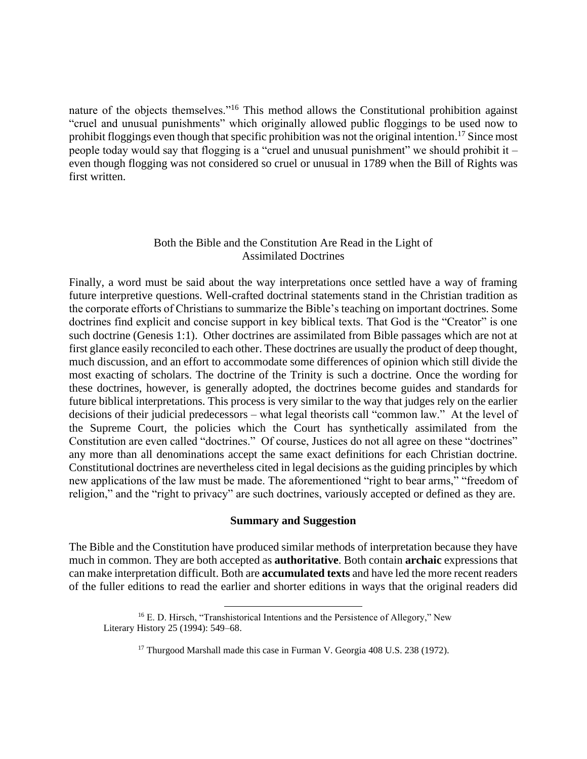nature of the objects themselves."<sup>16</sup> This method allows the Constitutional prohibition against "cruel and unusual punishments" which originally allowed public floggings to be used now to prohibit floggings even though that specific prohibition was not the original intention.<sup>17</sup> Since most people today would say that flogging is a "cruel and unusual punishment" we should prohibit it – even though flogging was not considered so cruel or unusual in 1789 when the Bill of Rights was first written.

## Both the Bible and the Constitution Are Read in the Light of Assimilated Doctrines

Finally, a word must be said about the way interpretations once settled have a way of framing future interpretive questions. Well-crafted doctrinal statements stand in the Christian tradition as the corporate efforts of Christians to summarize the Bible's teaching on important doctrines. Some doctrines find explicit and concise support in key biblical texts. That God is the "Creator" is one such doctrine (Genesis 1:1). Other doctrines are assimilated from Bible passages which are not at first glance easily reconciled to each other. These doctrines are usually the product of deep thought, much discussion, and an effort to accommodate some differences of opinion which still divide the most exacting of scholars. The doctrine of the Trinity is such a doctrine. Once the wording for these doctrines, however, is generally adopted, the doctrines become guides and standards for future biblical interpretations. This process is very similar to the way that judges rely on the earlier decisions of their judicial predecessors – what legal theorists call "common law." At the level of the Supreme Court, the policies which the Court has synthetically assimilated from the Constitution are even called "doctrines." Of course, Justices do not all agree on these "doctrines" any more than all denominations accept the same exact definitions for each Christian doctrine. Constitutional doctrines are nevertheless cited in legal decisions as the guiding principles by which new applications of the law must be made. The aforementioned "right to bear arms," "freedom of religion," and the "right to privacy" are such doctrines, variously accepted or defined as they are.

## **Summary and Suggestion**

The Bible and the Constitution have produced similar methods of interpretation because they have much in common. They are both accepted as **authoritative**. Both contain **archaic** expressions that can make interpretation difficult. Both are **accumulated texts** and have led the more recent readers of the fuller editions to read the earlier and shorter editions in ways that the original readers did

<sup>&</sup>lt;sup>16</sup> E. D. Hirsch, "Transhistorical Intentions and the Persistence of Allegory," New Literary History 25 (1994): 549–68.

<sup>&</sup>lt;sup>17</sup> Thurgood Marshall made this case in Furman V. Georgia 408 U.S. 238 (1972).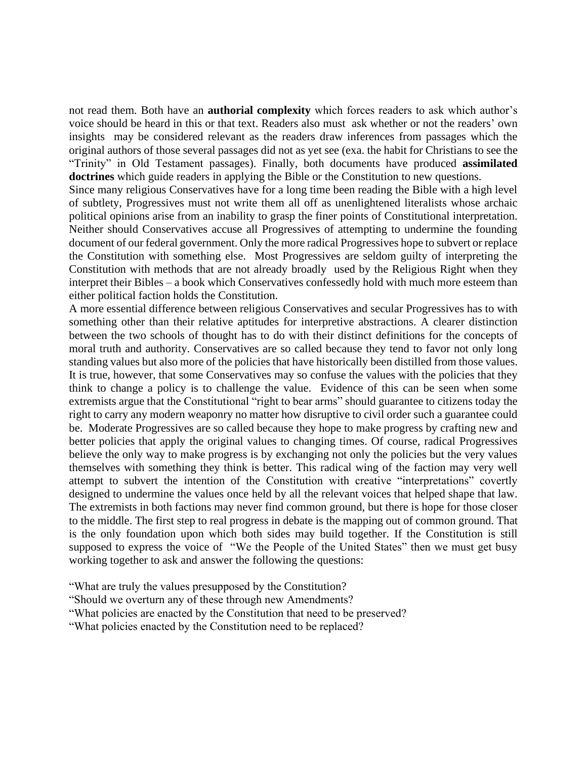not read them. Both have an **authorial complexity** which forces readers to ask which author's voice should be heard in this or that text. Readers also must ask whether or not the readers' own insights may be considered relevant as the readers draw inferences from passages which the original authors of those several passages did not as yet see (exa. the habit for Christians to see the "Trinity" in Old Testament passages). Finally, both documents have produced **assimilated doctrines** which guide readers in applying the Bible or the Constitution to new questions.

Since many religious Conservatives have for a long time been reading the Bible with a high level of subtlety, Progressives must not write them all off as unenlightened literalists whose archaic political opinions arise from an inability to grasp the finer points of Constitutional interpretation. Neither should Conservatives accuse all Progressives of attempting to undermine the founding document of our federal government. Only the more radical Progressives hope to subvert or replace the Constitution with something else. Most Progressives are seldom guilty of interpreting the Constitution with methods that are not already broadly used by the Religious Right when they interpret their Bibles – a book which Conservatives confessedly hold with much more esteem than either political faction holds the Constitution.

A more essential difference between religious Conservatives and secular Progressives has to with something other than their relative aptitudes for interpretive abstractions. A clearer distinction between the two schools of thought has to do with their distinct definitions for the concepts of moral truth and authority. Conservatives are so called because they tend to favor not only long standing values but also more of the policies that have historically been distilled from those values. It is true, however, that some Conservatives may so confuse the values with the policies that they think to change a policy is to challenge the value. Evidence of this can be seen when some extremists argue that the Constitutional "right to bear arms" should guarantee to citizens today the right to carry any modern weaponry no matter how disruptive to civil order such a guarantee could be. Moderate Progressives are so called because they hope to make progress by crafting new and better policies that apply the original values to changing times. Of course, radical Progressives believe the only way to make progress is by exchanging not only the policies but the very values themselves with something they think is better. This radical wing of the faction may very well attempt to subvert the intention of the Constitution with creative "interpretations" covertly designed to undermine the values once held by all the relevant voices that helped shape that law. The extremists in both factions may never find common ground, but there is hope for those closer to the middle. The first step to real progress in debate is the mapping out of common ground. That is the only foundation upon which both sides may build together. If the Constitution is still supposed to express the voice of "We the People of the United States" then we must get busy working together to ask and answer the following the questions:

"What are truly the values presupposed by the Constitution?

"Should we overturn any of these through new Amendments?

"What policies are enacted by the Constitution that need to be preserved?

"What policies enacted by the Constitution need to be replaced?